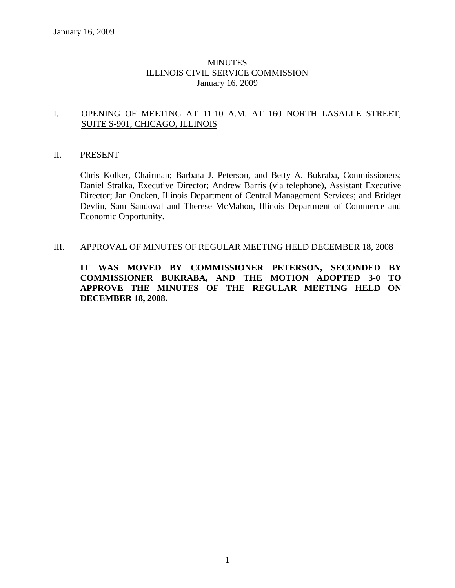#### MINUTES ILLINOIS CIVIL SERVICE COMMISSION January 16, 2009

#### I. OPENING OF MEETING AT 11:10 A.M. AT 160 NORTH LASALLE STREET, SUITE S-901, CHICAGO, ILLINOIS

#### II. PRESENT

Chris Kolker, Chairman; Barbara J. Peterson, and Betty A. Bukraba, Commissioners; Daniel Stralka, Executive Director; Andrew Barris (via telephone), Assistant Executive Director; Jan Oncken, Illinois Department of Central Management Services; and Bridget Devlin, Sam Sandoval and Therese McMahon, Illinois Department of Commerce and Economic Opportunity.

#### III. APPROVAL OF MINUTES OF REGULAR MEETING HELD DECEMBER 18, 2008

**IT WAS MOVED BY COMMISSIONER PETERSON, SECONDED BY COMMISSIONER BUKRABA, AND THE MOTION ADOPTED 3-0 TO APPROVE THE MINUTES OF THE REGULAR MEETING HELD ON DECEMBER 18, 2008.**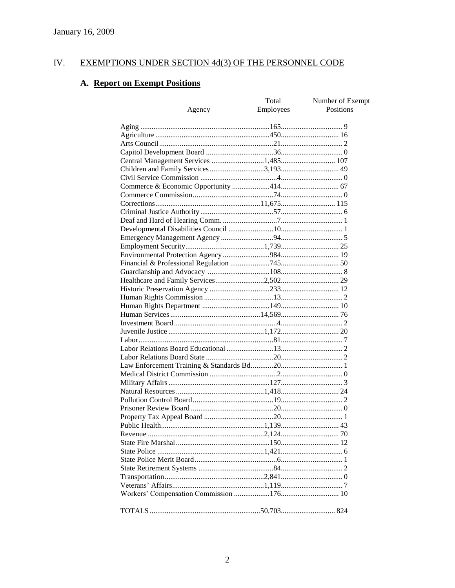#### EXEMPTIONS UNDER SECTION 4d(3) OF THE PERSONNEL CODE IV.

# A. Report on Exempt Positions

| <u>Agency</u>                         | Total<br><b>Employees</b> | Number of Exempt<br>Positions |
|---------------------------------------|---------------------------|-------------------------------|
|                                       |                           |                               |
|                                       |                           |                               |
|                                       |                           |                               |
|                                       |                           |                               |
| Central Management Services 1,485 107 |                           |                               |
|                                       |                           |                               |
|                                       |                           |                               |
|                                       |                           |                               |
|                                       |                           |                               |
|                                       |                           |                               |
|                                       |                           |                               |
|                                       |                           |                               |
|                                       |                           |                               |
|                                       |                           |                               |
|                                       |                           |                               |
|                                       |                           |                               |
|                                       |                           |                               |
|                                       |                           |                               |
|                                       |                           |                               |
|                                       |                           |                               |
|                                       |                           |                               |
|                                       |                           |                               |
|                                       |                           |                               |
|                                       |                           |                               |
|                                       |                           |                               |
|                                       |                           |                               |
|                                       |                           |                               |
|                                       |                           |                               |
|                                       |                           |                               |
|                                       |                           |                               |
|                                       |                           |                               |
|                                       |                           |                               |
|                                       |                           |                               |
|                                       |                           |                               |
|                                       |                           |                               |
|                                       |                           |                               |
|                                       |                           |                               |
|                                       |                           |                               |
|                                       |                           |                               |
|                                       |                           |                               |
|                                       |                           |                               |
|                                       |                           |                               |
|                                       |                           |                               |
|                                       |                           |                               |
|                                       |                           |                               |
|                                       |                           |                               |
|                                       |                           |                               |
|                                       |                           |                               |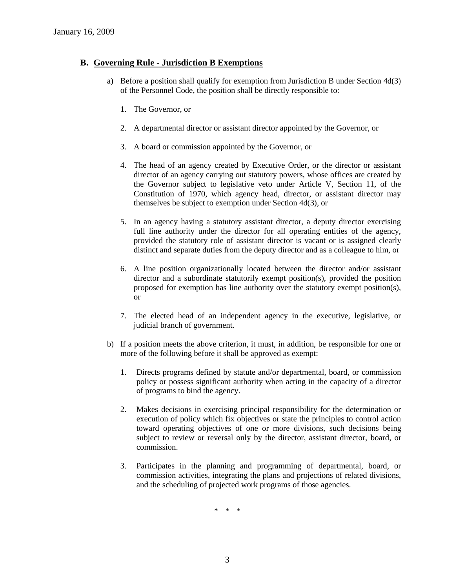#### **B. Governing Rule - Jurisdiction B Exemptions**

- a) Before a position shall qualify for exemption from Jurisdiction B under Section 4d(3) of the Personnel Code, the position shall be directly responsible to:
	- 1. The Governor, or
	- 2. A departmental director or assistant director appointed by the Governor, or
	- 3. A board or commission appointed by the Governor, or
	- 4. The head of an agency created by Executive Order, or the director or assistant director of an agency carrying out statutory powers, whose offices are created by the Governor subject to legislative veto under Article V, Section 11, of the Constitution of 1970, which agency head, director, or assistant director may themselves be subject to exemption under Section 4d(3), or
	- 5. In an agency having a statutory assistant director, a deputy director exercising full line authority under the director for all operating entities of the agency, provided the statutory role of assistant director is vacant or is assigned clearly distinct and separate duties from the deputy director and as a colleague to him, or
	- 6. A line position organizationally located between the director and/or assistant director and a subordinate statutorily exempt position(s), provided the position proposed for exemption has line authority over the statutory exempt position(s), or
	- 7. The elected head of an independent agency in the executive, legislative, or judicial branch of government.
- b) If a position meets the above criterion, it must, in addition, be responsible for one or more of the following before it shall be approved as exempt:
	- 1. Directs programs defined by statute and/or departmental, board, or commission policy or possess significant authority when acting in the capacity of a director of programs to bind the agency.
	- 2. Makes decisions in exercising principal responsibility for the determination or execution of policy which fix objectives or state the principles to control action toward operating objectives of one or more divisions, such decisions being subject to review or reversal only by the director, assistant director, board, or commission.
	- 3. Participates in the planning and programming of departmental, board, or commission activities, integrating the plans and projections of related divisions, and the scheduling of projected work programs of those agencies.

\* \* \*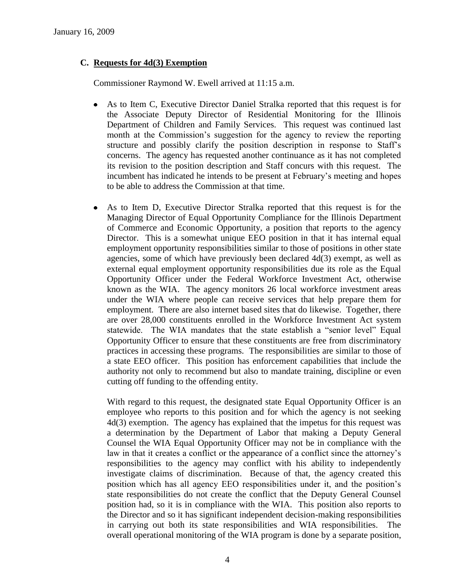## **C. Requests for 4d(3) Exemption**

Commissioner Raymond W. Ewell arrived at 11:15 a.m.

- As to Item C, Executive Director Daniel Stralka reported that this request is for the Associate Deputy Director of Residential Monitoring for the Illinois Department of Children and Family Services. This request was continued last month at the Commission's suggestion for the agency to review the reporting structure and possibly clarify the position description in response to Staff's concerns. The agency has requested another continuance as it has not completed its revision to the position description and Staff concurs with this request. The incumbent has indicated he intends to be present at February's meeting and hopes to be able to address the Commission at that time.
- As to Item D, Executive Director Stralka reported that this request is for the Managing Director of Equal Opportunity Compliance for the Illinois Department of Commerce and Economic Opportunity, a position that reports to the agency Director. This is a somewhat unique EEO position in that it has internal equal employment opportunity responsibilities similar to those of positions in other state agencies, some of which have previously been declared  $4d(3)$  exempt, as well as external equal employment opportunity responsibilities due its role as the Equal Opportunity Officer under the Federal Workforce Investment Act, otherwise known as the WIA. The agency monitors 26 local workforce investment areas under the WIA where people can receive services that help prepare them for employment. There are also internet based sites that do likewise. Together, there are over 28,000 constituents enrolled in the Workforce Investment Act system statewide. The WIA mandates that the state establish a "senior level" Equal Opportunity Officer to ensure that these constituents are free from discriminatory practices in accessing these programs. The responsibilities are similar to those of a state EEO officer. This position has enforcement capabilities that include the authority not only to recommend but also to mandate training, discipline or even cutting off funding to the offending entity.

With regard to this request, the designated state Equal Opportunity Officer is an employee who reports to this position and for which the agency is not seeking 4d(3) exemption. The agency has explained that the impetus for this request was a determination by the Department of Labor that making a Deputy General Counsel the WIA Equal Opportunity Officer may not be in compliance with the law in that it creates a conflict or the appearance of a conflict since the attorney's responsibilities to the agency may conflict with his ability to independently investigate claims of discrimination. Because of that, the agency created this position which has all agency EEO responsibilities under it, and the position's state responsibilities do not create the conflict that the Deputy General Counsel position had, so it is in compliance with the WIA. This position also reports to the Director and so it has significant independent decision-making responsibilities in carrying out both its state responsibilities and WIA responsibilities. The overall operational monitoring of the WIA program is done by a separate position,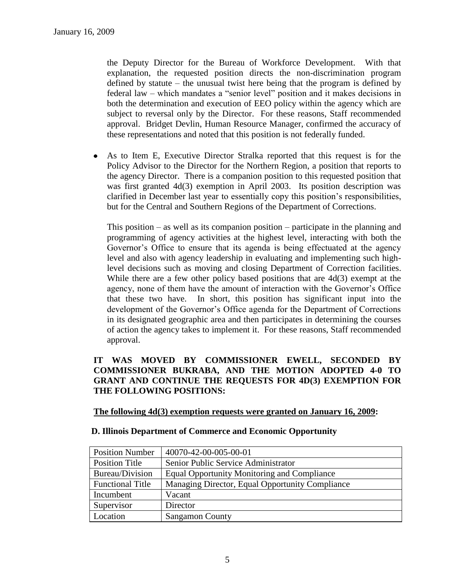the Deputy Director for the Bureau of Workforce Development. With that explanation, the requested position directs the non-discrimination program defined by statute – the unusual twist here being that the program is defined by federal law – which mandates a "senior level" position and it makes decisions in both the determination and execution of EEO policy within the agency which are subject to reversal only by the Director. For these reasons, Staff recommended approval. Bridget Devlin, Human Resource Manager, confirmed the accuracy of these representations and noted that this position is not federally funded.

As to Item E, Executive Director Stralka reported that this request is for the  $\bullet$ Policy Advisor to the Director for the Northern Region, a position that reports to the agency Director. There is a companion position to this requested position that was first granted 4d(3) exemption in April 2003. Its position description was clarified in December last year to essentially copy this position's responsibilities, but for the Central and Southern Regions of the Department of Corrections.

This position – as well as its companion position – participate in the planning and programming of agency activities at the highest level, interacting with both the Governor's Office to ensure that its agenda is being effectuated at the agency level and also with agency leadership in evaluating and implementing such highlevel decisions such as moving and closing Department of Correction facilities. While there are a few other policy based positions that are 4d(3) exempt at the agency, none of them have the amount of interaction with the Governor's Office that these two have. In short, this position has significant input into the development of the Governor's Office agenda for the Department of Corrections in its designated geographic area and then participates in determining the courses of action the agency takes to implement it. For these reasons, Staff recommended approval.

#### **IT WAS MOVED BY COMMISSIONER EWELL, SECONDED BY COMMISSIONER BUKRABA, AND THE MOTION ADOPTED 4-0 TO GRANT AND CONTINUE THE REQUESTS FOR 4D(3) EXEMPTION FOR THE FOLLOWING POSITIONS:**

|  | The following 4d(3) exemption requests were granted on January 16, 2009: |  |
|--|--------------------------------------------------------------------------|--|
|  |                                                                          |  |

| <b>Position Number</b>  | 40070-42-00-005-00-01                           |
|-------------------------|-------------------------------------------------|
| Position Title          | Senior Public Service Administrator             |
| Bureau/Division         | Equal Opportunity Monitoring and Compliance     |
| <b>Functional Title</b> | Managing Director, Equal Opportunity Compliance |
| Incumbent               | Vacant                                          |
| Supervisor              | Director                                        |
| Location                | <b>Sangamon County</b>                          |

#### **D. Illinois Department of Commerce and Economic Opportunity**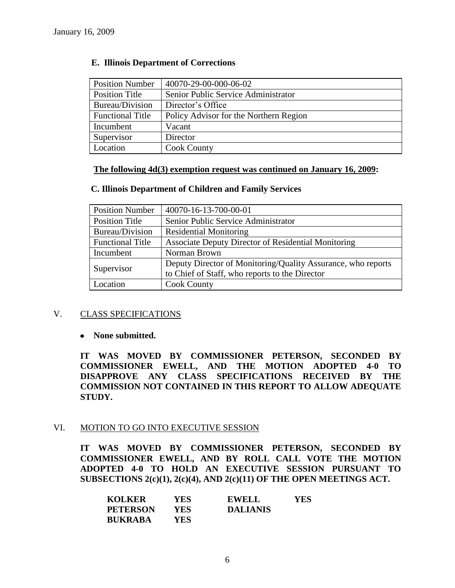| <b>Position Number</b>  | 40070-29-00-000-06-02                  |
|-------------------------|----------------------------------------|
| Position Title          | Senior Public Service Administrator    |
| Bureau/Division         | Director's Office                      |
| <b>Functional Title</b> | Policy Advisor for the Northern Region |
| Incumbent               | Vacant                                 |
| Supervisor              | Director                               |
| Location                | <b>Cook County</b>                     |

#### **E. Illinois Department of Corrections**

#### **The following 4d(3) exemption request was continued on January 16, 2009:**

#### **C. Illinois Department of Children and Family Services**

| <b>Position Number</b>  | 40070-16-13-700-00-01                                        |
|-------------------------|--------------------------------------------------------------|
| <b>Position Title</b>   | Senior Public Service Administrator                          |
| Bureau/Division         | <b>Residential Monitoring</b>                                |
| <b>Functional Title</b> | Associate Deputy Director of Residential Monitoring          |
| Incumbent               | Norman Brown                                                 |
| Supervisor              | Deputy Director of Monitoring/Quality Assurance, who reports |
|                         | to Chief of Staff, who reports to the Director               |
| Location                | <b>Cook County</b>                                           |

#### V. CLASS SPECIFICATIONS

#### **None submitted.**

**IT WAS MOVED BY COMMISSIONER PETERSON, SECONDED BY COMMISSIONER EWELL, AND THE MOTION ADOPTED 4-0 TO DISAPPROVE ANY CLASS SPECIFICATIONS RECEIVED BY THE COMMISSION NOT CONTAINED IN THIS REPORT TO ALLOW ADEQUATE STUDY.** 

#### VI. MOTION TO GO INTO EXECUTIVE SESSION

**IT WAS MOVED BY COMMISSIONER PETERSON, SECONDED BY COMMISSIONER EWELL, AND BY ROLL CALL VOTE THE MOTION ADOPTED 4-0 TO HOLD AN EXECUTIVE SESSION PURSUANT TO SUBSECTIONS 2(c)(1), 2(c)(4), AND 2(c)(11) OF THE OPEN MEETINGS ACT.** 

| <b>KOLKER</b>   | YES  | <b>EWELL</b>    | <b>YES</b> |
|-----------------|------|-----------------|------------|
| <b>PETERSON</b> | YES. | <b>DALIANIS</b> |            |
| <b>BUKRABA</b>  | YES. |                 |            |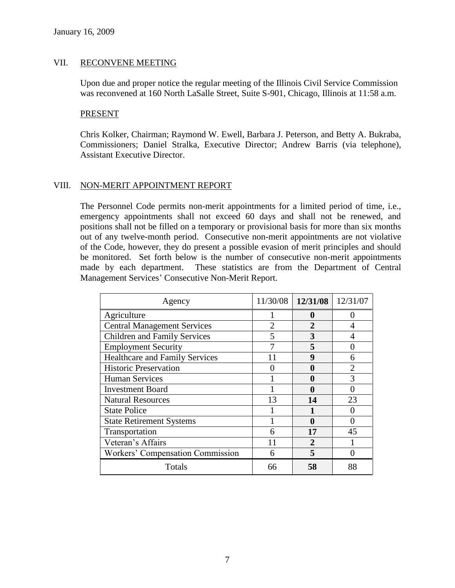#### VII. RECONVENE MEETING

Upon due and proper notice the regular meeting of the Illinois Civil Service Commission was reconvened at 160 North LaSalle Street, Suite S-901, Chicago, Illinois at 11:58 a.m.

#### PRESENT

Chris Kolker, Chairman; Raymond W. Ewell, Barbara J. Peterson, and Betty A. Bukraba, Commissioners; Daniel Stralka, Executive Director; Andrew Barris (via telephone), Assistant Executive Director.

#### VIII. NON-MERIT APPOINTMENT REPORT

The Personnel Code permits non-merit appointments for a limited period of time, i.e., emergency appointments shall not exceed 60 days and shall not be renewed, and positions shall not be filled on a temporary or provisional basis for more than six months out of any twelve-month period. Consecutive non-merit appointments are not violative of the Code, however, they do present a possible evasion of merit principles and should be monitored. Set forth below is the number of consecutive non-merit appointments made by each department. These statistics are from the Department of Central Management Services' Consecutive Non-Merit Report.

| Agency                                | 11/30/08 | 12/31/08       | 12/31/07 |
|---------------------------------------|----------|----------------|----------|
| Agriculture                           |          | 0              |          |
| <b>Central Management Services</b>    |          | $\mathfrak{D}$ |          |
| <b>Children and Family Services</b>   | 5        | 3              |          |
| <b>Employment Security</b>            |          | 5              |          |
| <b>Healthcare and Family Services</b> |          | 9              | 6        |
| <b>Historic Preservation</b>          |          | 0              |          |
| <b>Human Services</b>                 |          | 0              | 3        |
| <b>Investment Board</b>               |          |                |          |
| <b>Natural Resources</b>              | 13       | 14             | 23       |
| <b>State Police</b>                   |          |                |          |
| <b>State Retirement Systems</b>       |          | 0              |          |
| Transportation                        | 6        | 17             | 45       |
| Veteran's Affairs                     |          | $\mathbf 2$    |          |
| Workers' Compensation Commission      | 6        | 5              |          |
| Totals                                | 66       | 58             |          |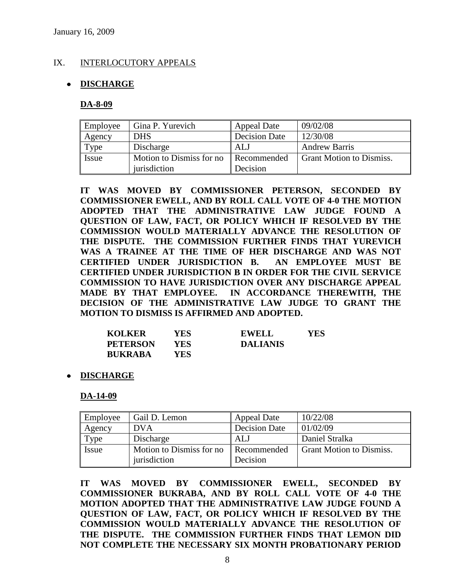#### IX. INTERLOCUTORY APPEALS

#### **DISCHARGE**

**DA-8-09**

| Employee     | Gina P. Yurevich         | <b>Appeal Date</b>   | 09/02/08                        |
|--------------|--------------------------|----------------------|---------------------------------|
| Agency       | <b>DHS</b>               | <b>Decision Date</b> | 12/30/08                        |
| Type         | Discharge                | ALJ                  | <b>Andrew Barris</b>            |
| <b>Issue</b> | Motion to Dismiss for no | Recommended          | <b>Grant Motion to Dismiss.</b> |
|              | jurisdiction             | Decision             |                                 |

**IT WAS MOVED BY COMMISSIONER PETERSON, SECONDED BY COMMISSIONER EWELL, AND BY ROLL CALL VOTE OF 4-0 THE MOTION ADOPTED THAT THE ADMINISTRATIVE LAW JUDGE FOUND A QUESTION OF LAW, FACT, OR POLICY WHICH IF RESOLVED BY THE COMMISSION WOULD MATERIALLY ADVANCE THE RESOLUTION OF THE DISPUTE. THE COMMISSION FURTHER FINDS THAT YUREVICH WAS A TRAINEE AT THE TIME OF HER DISCHARGE AND WAS NOT CERTIFIED UNDER JURISDICTION B. AN EMPLOYEE MUST BE CERTIFIED UNDER JURISDICTION B IN ORDER FOR THE CIVIL SERVICE COMMISSION TO HAVE JURISDICTION OVER ANY DISCHARGE APPEAL MADE BY THAT EMPLOYEE. IN ACCORDANCE THEREWITH, THE DECISION OF THE ADMINISTRATIVE LAW JUDGE TO GRANT THE MOTION TO DISMISS IS AFFIRMED AND ADOPTED.**

| <b>KOLKER</b>   | YES ! | <b>EWELL</b>    | YES |
|-----------------|-------|-----------------|-----|
| <b>PETERSON</b> | YES   | <b>DALIANIS</b> |     |
| <b>BUKRABA</b>  | YES.  |                 |     |

**DISCHARGE**

**DA-14-09**

| Employee | Gail D. Lemon             | <b>Appeal Date</b>   | 10/22/08                        |
|----------|---------------------------|----------------------|---------------------------------|
| Agency   | <b>DVA</b>                | <b>Decision Date</b> | 01/02/09                        |
| Type     | Discharge                 | AL.                  | Daniel Stralka                  |
| Issue    | Motion to Dismiss for no. | Recommended          | <b>Grant Motion to Dismiss.</b> |
|          | jurisdiction              | Decision             |                                 |

**IT WAS MOVED BY COMMISSIONER EWELL, SECONDED BY COMMISSIONER BUKRABA, AND BY ROLL CALL VOTE OF 4-0 THE MOTION ADOPTED THAT THE ADMINISTRATIVE LAW JUDGE FOUND A QUESTION OF LAW, FACT, OR POLICY WHICH IF RESOLVED BY THE COMMISSION WOULD MATERIALLY ADVANCE THE RESOLUTION OF THE DISPUTE. THE COMMISSION FURTHER FINDS THAT LEMON DID NOT COMPLETE THE NECESSARY SIX MONTH PROBATIONARY PERIOD**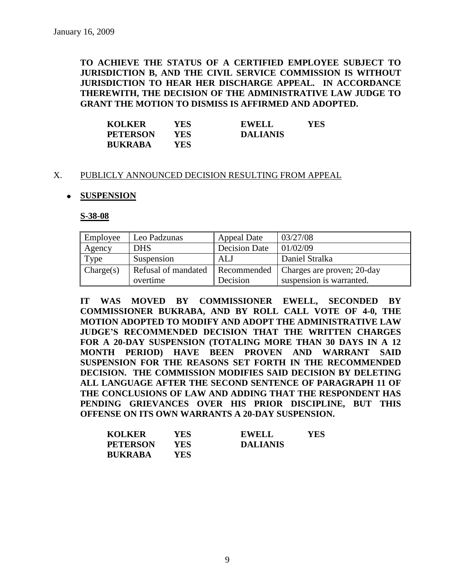**TO ACHIEVE THE STATUS OF A CERTIFIED EMPLOYEE SUBJECT TO JURISDICTION B, AND THE CIVIL SERVICE COMMISSION IS WITHOUT JURISDICTION TO HEAR HER DISCHARGE APPEAL. IN ACCORDANCE THEREWITH, THE DECISION OF THE ADMINISTRATIVE LAW JUDGE TO GRANT THE MOTION TO DISMISS IS AFFIRMED AND ADOPTED.**

| <b>KOLKER</b>   | YES- | <b>EWELL</b>    | YES |
|-----------------|------|-----------------|-----|
| <b>PETERSON</b> | YES  | <b>DALIANIS</b> |     |
| <b>BUKRABA</b>  | YES  |                 |     |

#### X. PUBLICLY ANNOUNCED DECISION RESULTING FROM APPEAL

#### **SUSPENSION**

**S-38-08**

| Employee  | Leo Padzunas        | <b>Appeal Date</b>   | 03/27/08                   |
|-----------|---------------------|----------------------|----------------------------|
| Agency    | <b>DHS</b>          | <b>Decision Date</b> | 01/02/09                   |
| Type      | Suspension          | ALJ                  | Daniel Stralka             |
| Change(s) | Refusal of mandated | Recommended          | Charges are proven; 20-day |
|           | overtime            | Decision             | suspension is warranted.   |

**IT WAS MOVED BY COMMISSIONER EWELL, SECONDED BY COMMISSIONER BUKRABA, AND BY ROLL CALL VOTE OF 4-0, THE MOTION ADOPTED TO MODIFY AND ADOPT THE ADMINISTRATIVE LAW JUDGE'S RECOMMENDED DECISION THAT THE WRITTEN CHARGES FOR A 20-DAY SUSPENSION (TOTALING MORE THAN 30 DAYS IN A 12 MONTH PERIOD) HAVE BEEN PROVEN AND WARRANT SAID SUSPENSION FOR THE REASONS SET FORTH IN THE RECOMMENDED DECISION. THE COMMISSION MODIFIES SAID DECISION BY DELETING ALL LANGUAGE AFTER THE SECOND SENTENCE OF PARAGRAPH 11 OF THE CONCLUSIONS OF LAW AND ADDING THAT THE RESPONDENT HAS PENDING GRIEVANCES OVER HIS PRIOR DISCIPLINE, BUT THIS OFFENSE ON ITS OWN WARRANTS A 20-DAY SUSPENSION.**

| <b>KOLKER</b>   | YES   | YES.<br><b>EWELL</b> |  |
|-----------------|-------|----------------------|--|
| <b>PETERSON</b> | YES.  | <b>DALIANIS</b>      |  |
| <b>BUKRABA</b>  | YES . |                      |  |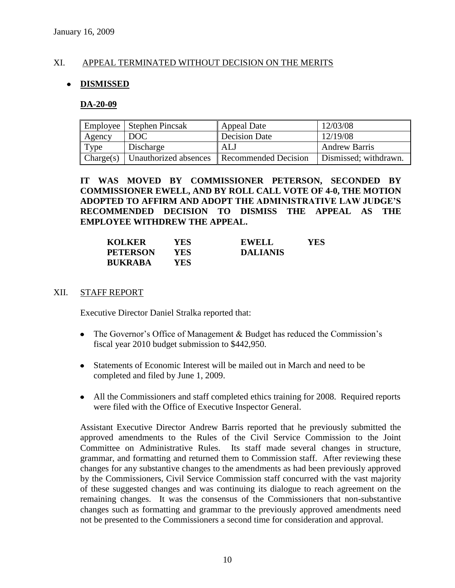#### XI. APPEAL TERMINATED WITHOUT DECISION ON THE MERITS

#### **DISMISSED**  $\bullet$

#### **DA-20-09**

|           | Employee   Stephen Pincsak | Appeal Date                                | 12/03/08              |
|-----------|----------------------------|--------------------------------------------|-----------------------|
| Agency    | DOC                        | Decision Date                              | 12/19/08              |
| Type      | Discharge                  | ALJ                                        | <b>Andrew Barris</b>  |
| Change(s) |                            | Unauthorized absences Recommended Decision | Dismissed; withdrawn. |

#### **IT WAS MOVED BY COMMISSIONER PETERSON, SECONDED BY COMMISSIONER EWELL, AND BY ROLL CALL VOTE OF 4-0, THE MOTION ADOPTED TO AFFIRM AND ADOPT THE ADMINISTRATIVE LAW JUDGE'S RECOMMENDED DECISION TO DISMISS THE APPEAL AS THE EMPLOYEE WITHDREW THE APPEAL.**

| <b>KOLKER</b>   | YES | <b>EWELL</b>    | YES |
|-----------------|-----|-----------------|-----|
| <b>PETERSON</b> | YES | <b>DALIANIS</b> |     |
| <b>BUKRABA</b>  | YES |                 |     |

#### XII. STAFF REPORT

Executive Director Daniel Stralka reported that:

- The Governor's Office of Management & Budget has reduced the Commission's fiscal year 2010 budget submission to \$442,950.
- Statements of Economic Interest will be mailed out in March and need to be completed and filed by June 1, 2009.
- All the Commissioners and staff completed ethics training for 2008. Required reports were filed with the Office of Executive Inspector General.

Assistant Executive Director Andrew Barris reported that he previously submitted the approved amendments to the Rules of the Civil Service Commission to the Joint Committee on Administrative Rules. Its staff made several changes in structure, grammar, and formatting and returned them to Commission staff. After reviewing these changes for any substantive changes to the amendments as had been previously approved by the Commissioners, Civil Service Commission staff concurred with the vast majority of these suggested changes and was continuing its dialogue to reach agreement on the remaining changes. It was the consensus of the Commissioners that non-substantive changes such as formatting and grammar to the previously approved amendments need not be presented to the Commissioners a second time for consideration and approval.